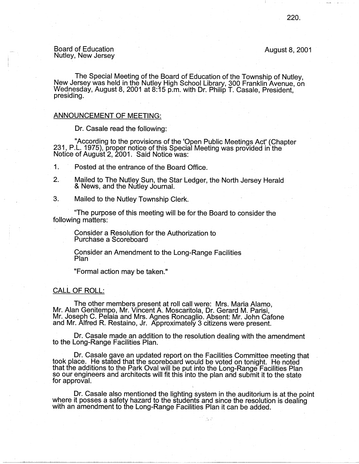# Board of Education Board of Education August 8, 2001<br>Nutley, New Jersey

The Special Meeting of the Board of Education of the Township of Nutley, New Jersey was held in the Nutley High School Library, 300 Franklin Avenue, on Wednesday, August 8, 2001 at 8:15 p.m. with Dr. Philip T. Casale, President,<br>presiding.

## ANNOUNCEMENT OF MEETING:

Dr. Casale read the following:

"According to the provisions of the 'Open Public Meetings Act' (Chapter 231, P .L. 1975), proper notice of this Special Meeting was provided in the Notice of August 2, 2001. Said Notice was:

1. Posted at the entrance of the Board Office.

- 2. Mailed to The Nutley Sun, the Star Ledger, the North Jersey Herald & News, and the Nutley Journal.
- 3. Mailed to the Nutley Township Clerk.

"The purpose of this meeting will be for the Board to consider the following matters:

Consider a Resolution for the Authorization to Purchase a Scoreboard

Consider an Amendment to the Long-Range Facilities Plan · .

"Formal action may be taken."

# CALL OF ROLL:

The other members present at roll call were: Mrs. Maria Alamo, Mr. Alan Genitempo, Mr. Vincent A. Moscaritola, Dr. Gerard M. Parisi, Mr. Joseph C. Pelaia and Mrs. Agnes Roncaglio. Absent: Mr. John Catone and Mr. Alfred R. Restaino, Jr. Approximately 3 citizens were present.

Dr. Casale made an addition to the resolution dealing with the amendment to the Long-Range Facilities Plan.

Dr. Casale gave an updated report on the Facilities Committee meeting that took place. He stated that the scoreboard would be voted on tonight. He noted that the additions to the Park Oval will be put into the Long-Range\_ Facilities Plan so our engineers and architects will fit this into the plan and submit it to the state for approval.

Dr. Casale also mentioned the lighting system in the auditorium is at the point where it posses a safety hazard to the students and since the resolution is dealing with an amendment to the Long-Range Facilities Plan it can be added.

.. - ·-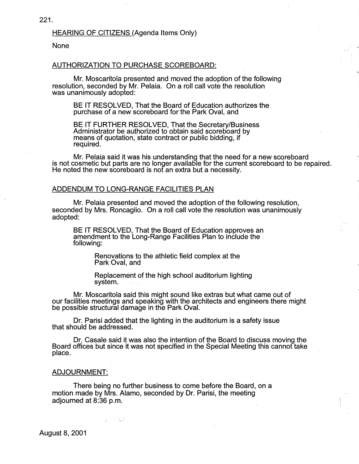# None

#### AUTHORIZATION TO PURCHASE SCOREBOARD:

Mr. Moscaritola presented and moved the adoption of the following resolution, seconded by Mr. Pelaia. On a roll call vote the resolution was unanimously adopted:

BE IT RESOLVED, That the Board of Education authorizes the purchase of a new scoreboard for the Park Oval, and

BE IT FURTHER RESOLVED, That the Secretary/Business Administrator be authorized to obtain said scoreboard by means of quotation, state contract or public bidding, if required.

Mr. Pelaia said it was his understanding that the need for a new scoreboard is not cosmetic but parts are no longer available for the current scoreboard to be repaired. He noted the new scoreboard is not an extra but a necessity.

## ADDENDUM TO LONG-RANGE FACILITIES PLAN

Mr. Pelaia presented and moved the adoption of the following resolution, seconded by Mrs. Roncaglio. On a roll call vote the resolution was unanimously adopted:

BE IT RESOLVED, That the Board of Education approves an amendment to the Long-Range Facilities Plan to include the . following:

> Renovations to the athletic field complex at the Park Oval, and

Replacement of the high school auditorium lighting system.

Mr. Moscaritola said this might sound like extras but what came out of our facilities meetings and speaking with the architects and engineers there might be possible structural damage in the Park Oval.

Dr. Parisi added that the lighting in the auditorium is a safety issue that should be addressed.

· Dr. Casale said it was also the intention of the Board to discuss moving the Board offices but since it was not specified in the Special Meeting this cannot take place.

#### **ADJOURNMENT:**

There being no further business to come before the Board, on a motion made by Mrs. Alamo, seconded by Dr. Parisi, the meeting adjourned at 8:36 p.m.

August 8, 2001